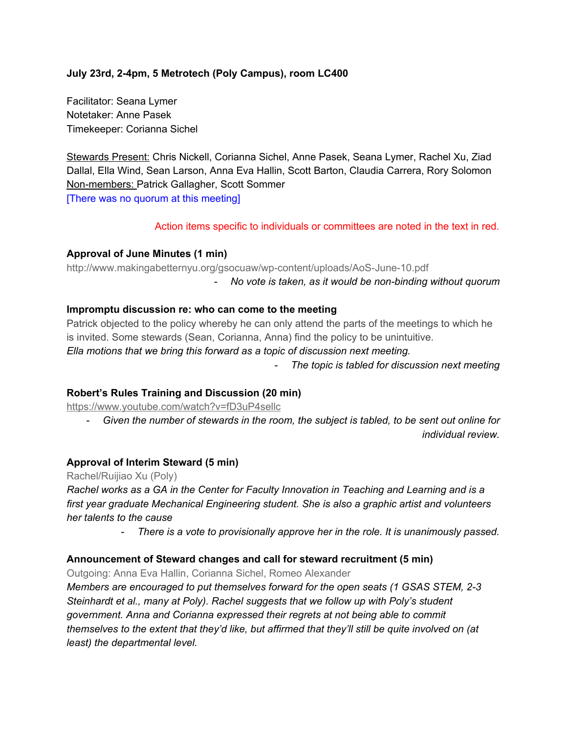## **July 23rd, 24pm, 5 Metrotech (Poly Campus), room LC400**

Facilitator: Seana Lymer Notetaker: Anne Pasek Timekeeper: Corianna Sichel

Stewards Present: Chris Nickell, Corianna Sichel, Anne Pasek, Seana Lymer, Rachel Xu, Ziad Dallal, Ella Wind, Sean Larson, Anna Eva Hallin, Scott Barton, Claudia Carrera, Rory Solomon Non-members: Patrick Gallagher, Scott Sommer [There was no quorum at this meeting]

Action items specific to individuals or committees are noted in the text in red.

#### **Approval of June Minutes (1 min)**

http://www.makingabetternyu.org/gsocuaw/wp-content/uploads/AoS-June-10.pdf

*No vote is taken, as it would be nonbinding without quorum*

#### **Impromptu discussion re: who can come to the meeting**

Patrick objected to the policy whereby he can only attend the parts of the meetings to which he is invited. Some stewards (Sean, Corianna, Anna) find the policy to be unintuitive.

*Ella motions that we bring this forward as a topic of discussion next meeting.*

*The topic is tabled for discussion next meeting*

#### **Robert's Rules Training and Discussion (20 min)**

<https://www.youtube.com/watch?v=fD3uP4sellc>

 *Given the number of stewards in the room, the subject is tabled, to be sent out online for individual review.*

## **Approval of Interim Steward (5 min)**

Rachel/Ruijiao Xu (Poly)

*Rachel works as a GA in the Center for Faculty Innovation in Teaching and Learning and is a first year graduate Mechanical Engineering student. She is also a graphic artist and volunteers her talents to the cause*

*There is a vote to provisionally approve her in the role. It is unanimously passed.*

### **Announcement of Steward changes and call for steward recruitment (5 min)**

Outgoing: Anna Eva Hallin, Corianna Sichel, Romeo Alexander

*Members are encouraged to put themselves forward for the open seats (1 GSAS STEM, 23 Steinhardt et al., many at Poly). Rachel suggests that we follow up with Poly's student government. Anna and Corianna expressed their regrets at not being able to commit themselves to the extent that they'd like, but affirmed that they'll still be quite involved on (at least) the departmental level.*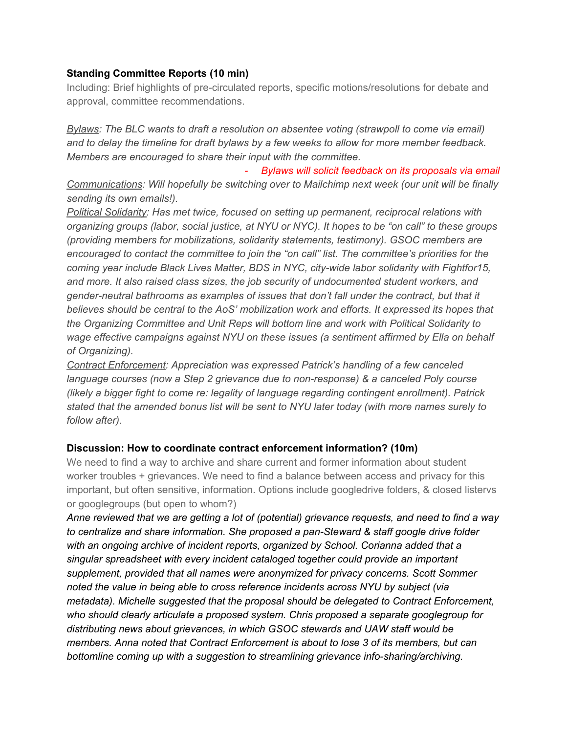### **Standing Committee Reports (10 min)**

Including: Brief highlights of pre-circulated reports, specific motions/resolutions for debate and approval, committee recommendations.

*Bylaws: The BLC wants to draft a resolution on absentee voting (strawpoll to come via email) and to delay the timeline for draft bylaws by a few weeks to allow for more member feedback. Members are encouraged to share their input with the committee.*

 *Bylaws will solicit feedback on its proposals via email Communications: Will hopefully be switching over to Mailchimp next week (our unit will be finally sending its own emails!).*

*Political Solidarity: Has met twice, focused on setting up permanent, reciprocal relations with organizing groups (labor, social justice, at NYU or NYC). It hopes to be "on call" to these groups (providing members for mobilizations, solidarity statements, testimony). GSOC members are encouraged to contact the committee to join the "on call" list. The committee's priorities for the coming year include Black Lives Matter, BDS in NYC, citywide labor solidarity with Fightfor15, and more. It also raised class sizes, the job security of undocumented student workers, and genderneutral bathrooms as examples of issues that don't fall under the contract, but that it believes should be central to the AoS' mobilization work and efforts. It expressed its hopes that the Organizing Committee and Unit Reps will bottom line and work with Political Solidarity to wage effective campaigns against NYU on these issues (a sentiment affirmed by Ella on behalf of Organizing).*

*Contract Enforcement: Appreciation was expressed Patrick's handling of a few canceled language courses (now a Step 2 grievance due to nonresponse) & a canceled Poly course (likely a bigger fight to come re: legality of language regarding contingent enrollment). Patrick stated that the amended bonus list will be sent to NYU later today (with more names surely to follow after).*

## **Discussion: How to coordinate contract enforcement information? (10m)**

We need to find a way to archive and share current and former information about student worker troubles + grievances. We need to find a balance between access and privacy for this important, but often sensitive, information. Options include googledrive folders, & closed listervs or googlegroups (but open to whom?)

*Anne reviewed that we are getting a lot of (potential) grievance requests, and need to find a way to centralize and share information. She proposed a panSteward & staff google drive folder with an ongoing archive of incident reports, organized by School. Corianna added that a singular spreadsheet with every incident cataloged together could provide an important supplement, provided that all names were anonymized for privacy concerns. Scott Sommer noted the value in being able to cross reference incidents across NYU by subject (via metadata). Michelle suggested that the proposal should be delegated to Contract Enforcement, who should clearly articulate a proposed system. Chris proposed a separate googlegroup for distributing news about grievances, in which GSOC stewards and UAW staff would be members. Anna noted that Contract Enforcement is about to lose 3 of its members, but can bottomline coming up with a suggestion to streamlining grievance infosharing/archiving.*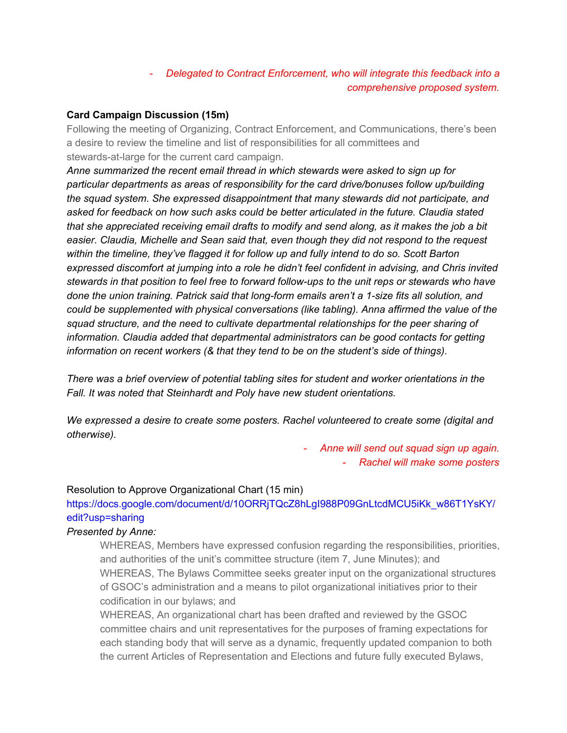# *Delegated to Contract Enforcement, who will integrate this feedback into a comprehensive proposed system.*

## **Card Campaign Discussion (15m)**

Following the meeting of Organizing, Contract Enforcement, and Communications, there's been a desire to review the timeline and list of responsibilities for all committees and stewards-at-large for the current card campaign.

*Anne summarized the recent email thread in which stewards were asked to sign up for particular departments as areas of responsibility for the card drive/bonuses follow up/building the squad system. She expressed disappointment that many stewards did not participate, and asked for feedback on how such asks could be better articulated in the future. Claudia stated that she appreciated receiving email drafts to modify and send along, as it makes the job a bit easier. Claudia, Michelle and Sean said that, even though they did not respond to the request within the timeline, they've flagged it for follow up and fully intend to do so. Scott Barton expressed discomfort at jumping into a role he didn't feel confident in advising, and Chris invited stewards in that position to feel free to forward followups to the unit reps or stewards who have done the union training. Patrick said that longform emails aren't a 1size fits all solution, and could be supplemented with physical conversations (like tabling). Anna affirmed the value of the squad structure, and the need to cultivate departmental relationships for the peer sharing of information. Claudia added that departmental administrators can be good contacts for getting information on recent workers (& that they tend to be on the student's side of things).*

*There was a brief overview of potential tabling sites for student and worker orientations in the Fall. It was noted that Steinhardt and Poly have new student orientations.*

*We expressed a desire to create some posters. Rachel volunteered to create some (digital and otherwise).*

> *Anne will send out squad sign up again. Rachel will make some posters*

#### Resolution to Approve Organizational Chart (15 min)

https://docs.google.com/document/d/10ORRjTQcZ8hLgI988P09GnLtcdMCU5iKk\_w86T1YsKY/ edit?usp=sharing

### *Presented by Anne:*

WHEREAS, Members have expressed confusion regarding the responsibilities, priorities, and authorities of the unit's committee structure (item 7, June Minutes); and WHEREAS, The Bylaws Committee seeks greater input on the organizational structures of GSOC's administration and a means to pilot organizational initiatives prior to their codification in our bylaws; and

WHEREAS, An organizational chart has been drafted and reviewed by the GSOC committee chairs and unit representatives for the purposes of framing expectations for each standing body that will serve as a dynamic, frequently updated companion to both the current Articles of Representation and Elections and future fully executed Bylaws,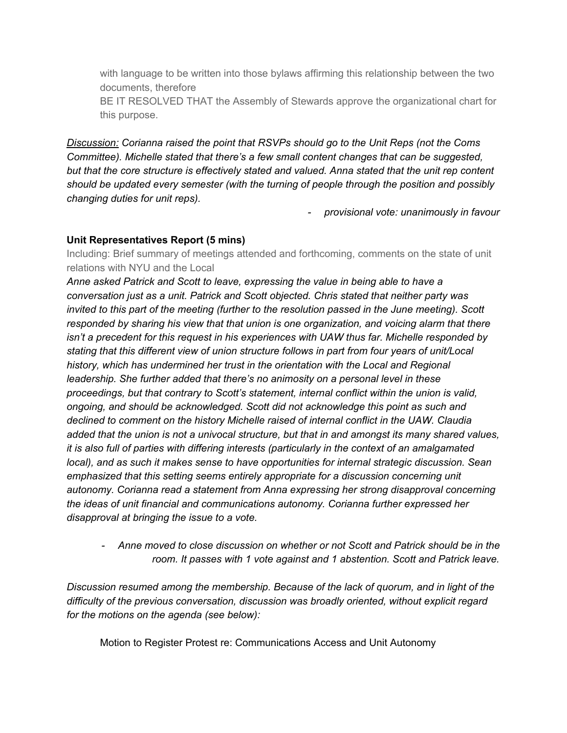with language to be written into those bylaws affirming this relationship between the two documents, therefore

BE IT RESOLVED THAT the Assembly of Stewards approve the organizational chart for this purpose.

*Discussion: Corianna raised the point that RSVPs should go to the Unit Reps (not the Coms Committee). Michelle stated that there's a few small content changes that can be suggested, but that the core structure is effectively stated and valued. Anna stated that the unit rep content should be updated every semester (with the turning of people through the position and possibly changing duties for unit reps).*

*provisional vote: unanimously in favour*

## **Unit Representatives Report (5 mins)**

Including: Brief summary of meetings attended and forthcoming, comments on the state of unit relations with NYU and the Local

*Anne asked Patrick and Scott to leave, expressing the value in being able to have a conversation just as a unit. Patrick and Scott objected. Chris stated that neither party was invited to this part of the meeting (further to the resolution passed in the June meeting). Scott responded by sharing his view that that union is one organization, and voicing alarm that there isn't a precedent for this request in his experiences with UAW thus far. Michelle responded by stating that this different view of union structure follows in part from four years of unit/Local history, which has undermined her trust in the orientation with the Local and Regional leadership. She further added that there's no animosity on a personal level in these proceedings, but that contrary to Scott's statement, internal conflict within the union is valid, ongoing, and should be acknowledged. Scott did not acknowledge this point as such and declined to comment on the history Michelle raised of internal conflict in the UAW. Claudia added that the union is not a univocal structure, but that in and amongst its many shared values, it is also full of parties with differing interests (particularly in the context of an amalgamated local), and as such it makes sense to have opportunities for internal strategic discussion. Sean emphasized that this setting seems entirely appropriate for a discussion concerning unit autonomy. Corianna read a statement from Anna expressing her strong disapproval concerning the ideas of unit financial and communications autonomy. Corianna further expressed her disapproval at bringing the issue to a vote.*

 *Anne moved to close discussion on whether or not Scott and Patrick should be in the room. It passes with 1 vote against and 1 abstention. Scott and Patrick leave.*

*Discussion resumed among the membership. Because of the lack of quorum, and in light of the difficulty of the previous conversation, discussion was broadly oriented, without explicit regard for the motions on the agenda (see below):*

Motion to Register Protest re: Communications Access and Unit Autonomy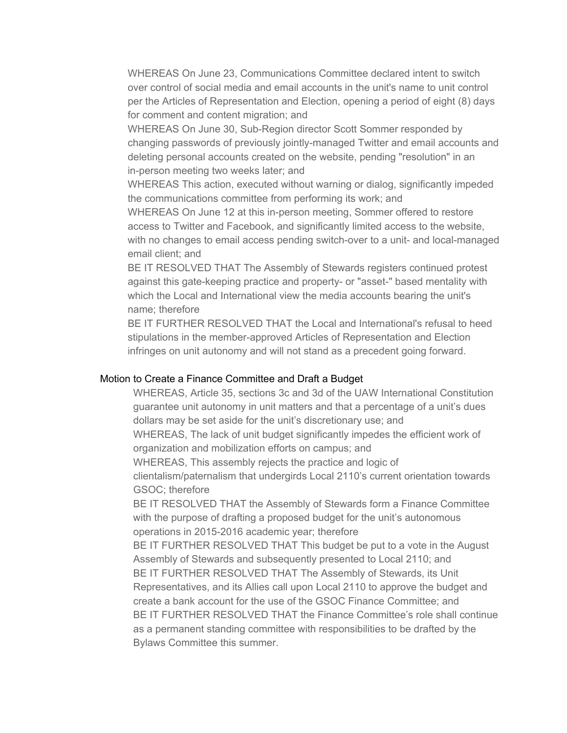WHEREAS On June 23, Communications Committee declared intent to switch over control of social media and email accounts in the unit's name to unit control per the Articles of Representation and Election, opening a period of eight (8) days for comment and content migration; and

WHEREAS On June 30, Sub-Region director Scott Sommer responded by changing passwords of previously jointly-managed Twitter and email accounts and deleting personal accounts created on the website, pending "resolution" in an in-person meeting two weeks later; and

WHEREAS This action, executed without warning or dialog, significantly impeded the communications committee from performing its work; and

WHEREAS On June 12 at this in-person meeting, Sommer offered to restore access to Twitter and Facebook, and significantly limited access to the website, with no changes to email access pending switch-over to a unit- and local-managed email client; and

BE IT RESOLVED THAT The Assembly of Stewards registers continued protest against this gate-keeping practice and property- or "asset-" based mentality with which the Local and International view the media accounts bearing the unit's name; therefore

BE IT FURTHER RESOLVED THAT the Local and International's refusal to heed stipulations in the member-approved Articles of Representation and Election infringes on unit autonomy and will not stand as a precedent going forward.

#### Motion to Create a Finance Committee and Draft a Budget

WHEREAS, Article 35, sections 3c and 3d of the UAW International Constitution guarantee unit autonomy in unit matters and that a percentage of a unit's dues dollars may be set aside for the unit's discretionary use; and WHEREAS, The lack of unit budget significantly impedes the efficient work of

organization and mobilization efforts on campus; and

WHEREAS, This assembly rejects the practice and logic of

clientalism/paternalism that undergirds Local 2110's current orientation towards GSOC; therefore

BE IT RESOLVED THAT the Assembly of Stewards form a Finance Committee with the purpose of drafting a proposed budget for the unit's autonomous operations in 2015-2016 academic year; therefore

BE IT FURTHER RESOLVED THAT This budget be put to a vote in the August Assembly of Stewards and subsequently presented to Local 2110; and BE IT FURTHER RESOLVED THAT The Assembly of Stewards, its Unit Representatives, and its Allies call upon Local 2110 to approve the budget and create a bank account for the use of the GSOC Finance Committee; and BE IT FURTHER RESOLVED THAT the Finance Committee's role shall continue as a permanent standing committee with responsibilities to be drafted by the Bylaws Committee this summer.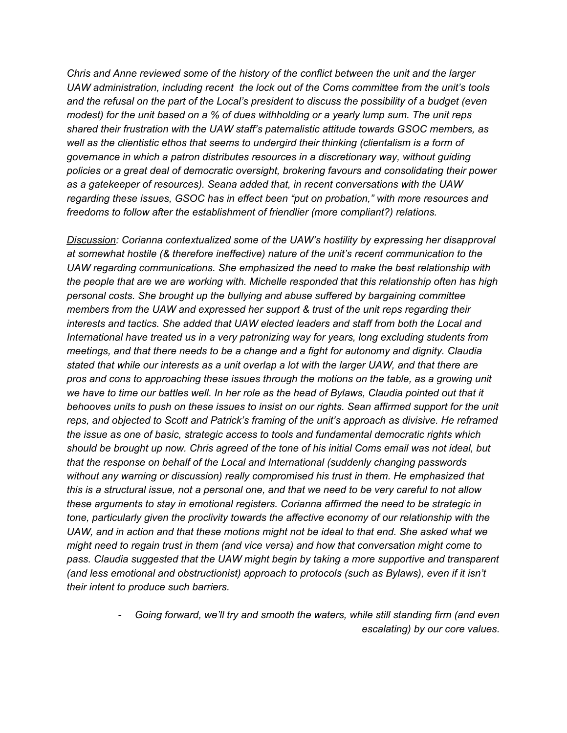*Chris and Anne reviewed some of the history of the conflict between the unit and the larger UAW administration, including recent the lock out of the Coms committee from the unit's tools and the refusal on the part of the Local's president to discuss the possibility of a budget (even modest) for the unit based on a % of dues withholding or a yearly lump sum. The unit reps shared their frustration with the UAW staff's paternalistic attitude towards GSOC members, as well as the clientistic ethos that seems to undergird their thinking (clientalism is a form of governance in which a patron distributes resources in a discretionary way, without guiding policies or a great deal of democratic oversight, brokering favours and consolidating their power as a gatekeeper of resources). Seana added that, in recent conversations with the UAW regarding these issues, GSOC has in effect been "put on probation," with more resources and freedoms to follow after the establishment of friendlier (more compliant?) relations.*

*Discussion: Corianna contextualized some of the UAW's hostility by expressing her disapproval at somewhat hostile (& therefore ineffective) nature of the unit's recent communication to the UAW regarding communications. She emphasized the need to make the best relationship with the people that are we are working with. Michelle responded that this relationship often has high personal costs. She brought up the bullying and abuse suffered by bargaining committee members from the UAW and expressed her support & trust of the unit reps regarding their interests and tactics. She added that UAW elected leaders and staff from both the Local and International have treated us in a very patronizing way for years, long excluding students from meetings, and that there needs to be a change and a fight for autonomy and dignity. Claudia* stated that while our interests as a unit overlap a lot with the larger UAW, and that there are *pros and cons to approaching these issues through the motions on the table, as a growing unit* we have to time our battles well. In her role as the head of Bylaws, Claudia pointed out that it *behooves units to push on these issues to insist on our rights. Sean affirmed support for the unit reps, and objected to Scott and Patrick's framing of the unit's approach as divisive. He reframed the issue as one of basic, strategic access to tools and fundamental democratic rights which* should be brought up now. Chris agreed of the tone of his initial Coms email was not ideal, but *that the response on behalf of the Local and International (suddenly changing passwords without any warning or discussion) really compromised his trust in them. He emphasized that* this is a structural issue, not a personal one, and that we need to be very careful to not allow *these arguments to stay in emotional registers. Corianna affirmed the need to be strategic in tone, particularly given the proclivity towards the affective economy of our relationship with the UAW, and in action and that these motions might not be ideal to that end. She asked what we might need to regain trust in them (and vice versa) and how that conversation might come to pass. Claudia suggested that the UAW might begin by taking a more supportive and transparent (and less emotional and obstructionist) approach to protocols (such as Bylaws), even if it isn't their intent to produce such barriers.*

> *Going forward, we'll try and smooth the waters, while still standing firm (and even escalating) by our core values.*